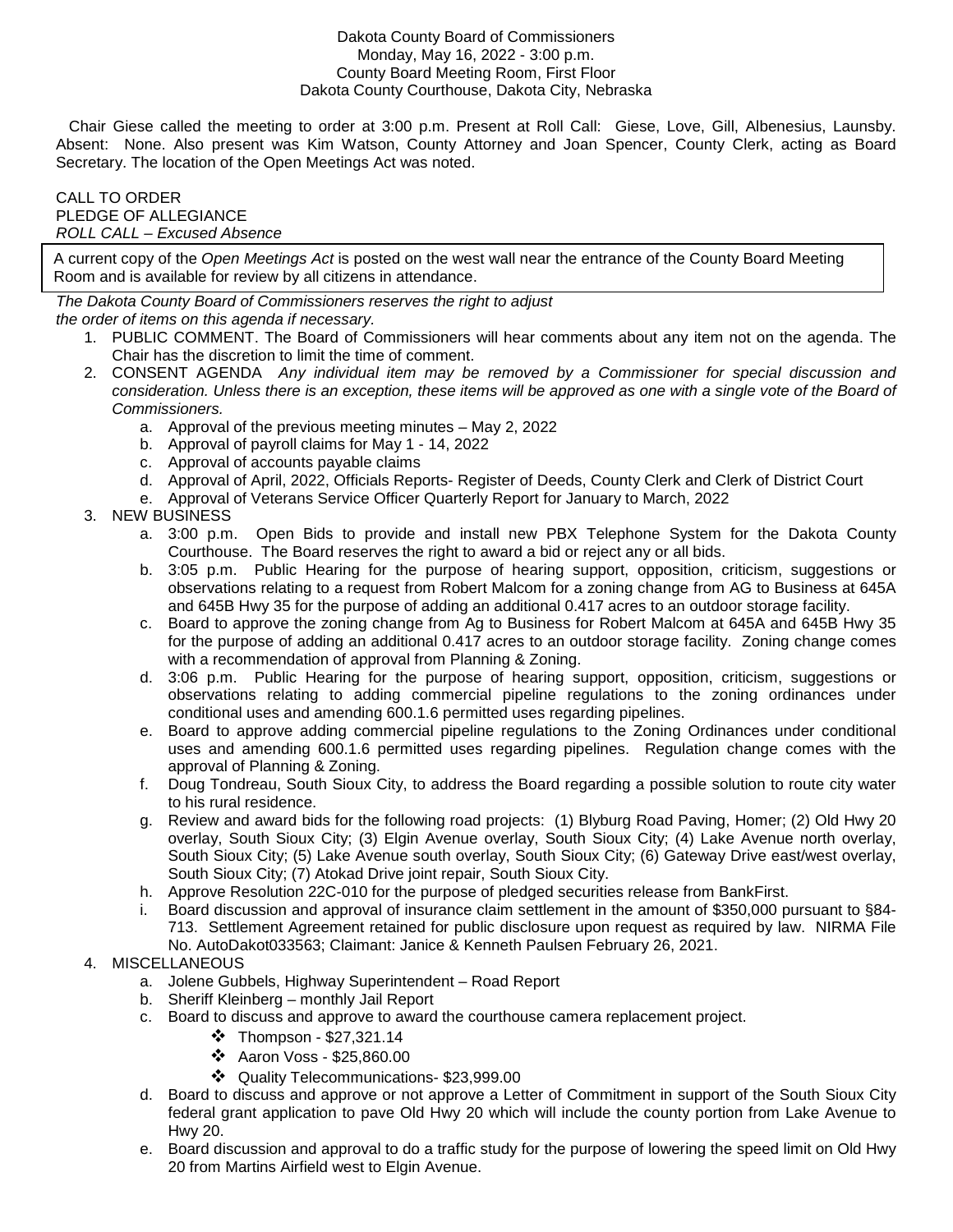## Dakota County Board of Commissioners Monday, May 16, 2022 - 3:00 p.m. County Board Meeting Room, First Floor Dakota County Courthouse, Dakota City, Nebraska

 Chair Giese called the meeting to order at 3:00 p.m. Present at Roll Call: Giese, Love, Gill, Albenesius, Launsby. Absent: None. Also present was Kim Watson, County Attorney and Joan Spencer, County Clerk, acting as Board Secretary. The location of the Open Meetings Act was noted.

## CALL TO ORDER PLEDGE OF ALLEGIANCE ROLL CALL – Excused Absence

A current copy of the Open Meetings Act is posted on the west wall near the entrance of the County Board Meeting Room and is available for review by all citizens in attendance.

The Dakota County Board of Commissioners reserves the right to adjust

the order of items on this agenda if necessary.

- 1. PUBLIC COMMENT. The Board of Commissioners will hear comments about any item not on the agenda. The Chair has the discretion to limit the time of comment.
- 2. CONSENT AGENDA Any individual item may be removed by a Commissioner for special discussion and consideration. Unless there is an exception, these items will be approved as one with a single vote of the Board of Commissioners.
	- a. Approval of the previous meeting minutes May 2, 2022
	- b. Approval of payroll claims for May 1 14, 2022
	- c. Approval of accounts payable claims
	- d. Approval of April, 2022, Officials Reports- Register of Deeds, County Clerk and Clerk of District Court
	- e. Approval of Veterans Service Officer Quarterly Report for January to March, 2022

## 3. NEW BUSINESS

- a. 3:00 p.m. Open Bids to provide and install new PBX Telephone System for the Dakota County Courthouse. The Board reserves the right to award a bid or reject any or all bids.
- b. 3:05 p.m. Public Hearing for the purpose of hearing support, opposition, criticism, suggestions or observations relating to a request from Robert Malcom for a zoning change from AG to Business at 645A and 645B Hwy 35 for the purpose of adding an additional 0.417 acres to an outdoor storage facility.
- c. Board to approve the zoning change from Ag to Business for Robert Malcom at 645A and 645B Hwy 35 for the purpose of adding an additional 0.417 acres to an outdoor storage facility. Zoning change comes with a recommendation of approval from Planning & Zoning.
- d. 3:06 p.m. Public Hearing for the purpose of hearing support, opposition, criticism, suggestions or observations relating to adding commercial pipeline regulations to the zoning ordinances under conditional uses and amending 600.1.6 permitted uses regarding pipelines.
- e. Board to approve adding commercial pipeline regulations to the Zoning Ordinances under conditional uses and amending 600.1.6 permitted uses regarding pipelines. Regulation change comes with the approval of Planning & Zoning.
- f. Doug Tondreau, South Sioux City, to address the Board regarding a possible solution to route city water to his rural residence.
- g. Review and award bids for the following road projects: (1) Blyburg Road Paving, Homer; (2) Old Hwy 20 overlay, South Sioux City; (3) Elgin Avenue overlay, South Sioux City; (4) Lake Avenue north overlay, South Sioux City; (5) Lake Avenue south overlay, South Sioux City; (6) Gateway Drive east/west overlay, South Sioux City; (7) Atokad Drive joint repair, South Sioux City.
- h. Approve Resolution 22C-010 for the purpose of pledged securities release from BankFirst.
- i. Board discussion and approval of insurance claim settlement in the amount of \$350,000 pursuant to §84- 713. Settlement Agreement retained for public disclosure upon request as required by law. NIRMA File No. AutoDakot033563; Claimant: Janice & Kenneth Paulsen February 26, 2021.

## 4. MISCELLANEOUS

- a. Jolene Gubbels, Highway Superintendent Road Report
- b. Sheriff Kleinberg monthly Jail Report
- c. Board to discuss and approve to award the courthouse camera replacement project.
	- $\cdot$  Thompson \$27,321.14
	- $\div$  Aaron Voss \$25,860.00
	- Quality Telecommunications- \$23,999.00
- d. Board to discuss and approve or not approve a Letter of Commitment in support of the South Sioux City federal grant application to pave Old Hwy 20 which will include the county portion from Lake Avenue to Hwy 20.
- e. Board discussion and approval to do a traffic study for the purpose of lowering the speed limit on Old Hwy 20 from Martins Airfield west to Elgin Avenue.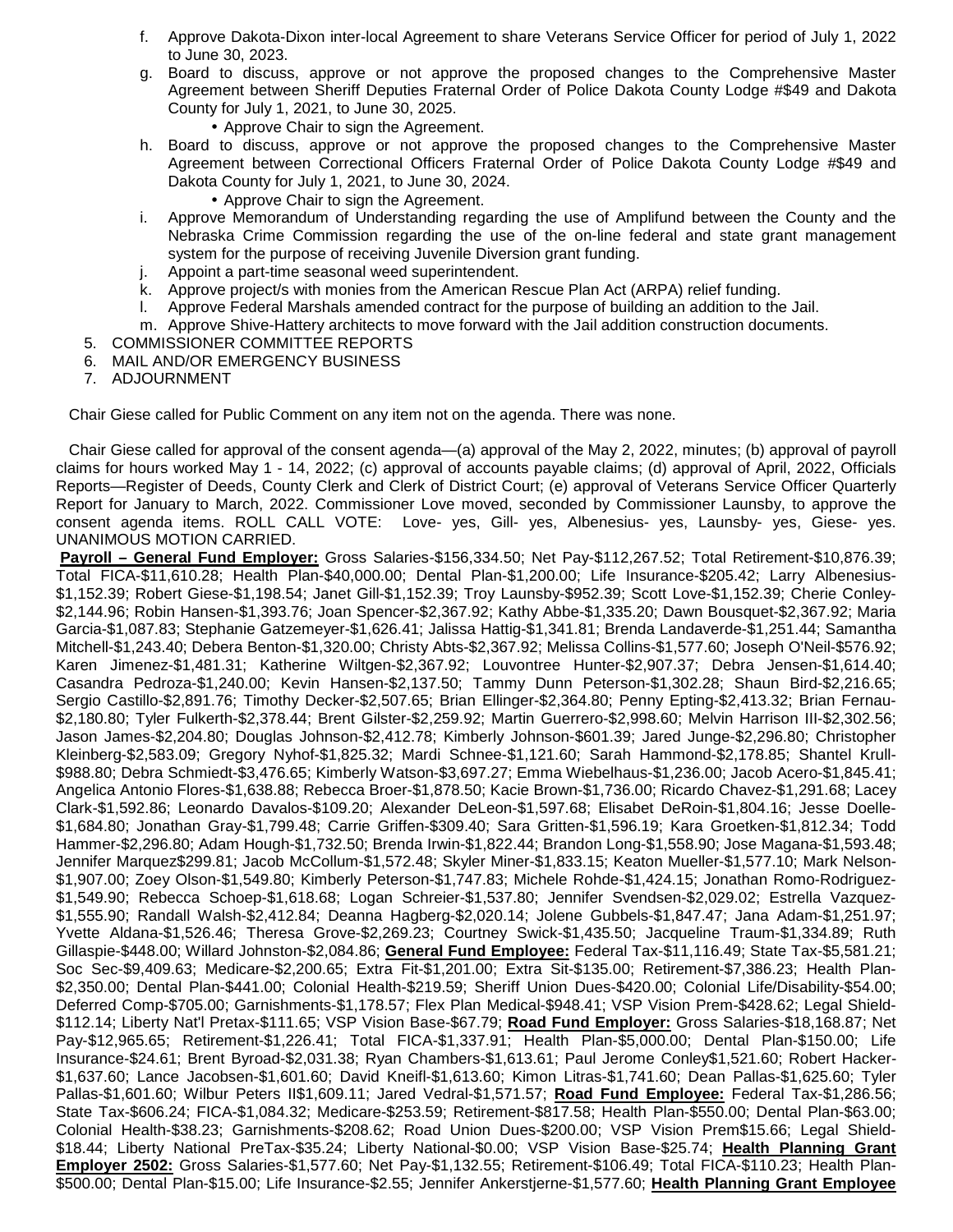- f. Approve Dakota-Dixon inter-local Agreement to share Veterans Service Officer for period of July 1, 2022 to June 30, 2023.
- g. Board to discuss, approve or not approve the proposed changes to the Comprehensive Master Agreement between Sheriff Deputies Fraternal Order of Police Dakota County Lodge #\$49 and Dakota County for July 1, 2021, to June 30, 2025.
	- Approve Chair to sign the Agreement.
- h. Board to discuss, approve or not approve the proposed changes to the Comprehensive Master Agreement between Correctional Officers Fraternal Order of Police Dakota County Lodge #\$49 and Dakota County for July 1, 2021, to June 30, 2024.
	- Approve Chair to sign the Agreement.
- i. Approve Memorandum of Understanding regarding the use of Amplifund between the County and the Nebraska Crime Commission regarding the use of the on-line federal and state grant management system for the purpose of receiving Juvenile Diversion grant funding.
- j. Appoint a part-time seasonal weed superintendent.
- k. Approve project/s with monies from the American Rescue Plan Act (ARPA) relief funding.
- l. Approve Federal Marshals amended contract for the purpose of building an addition to the Jail.
- m. Approve Shive-Hattery architects to move forward with the Jail addition construction documents.
- 5. COMMISSIONER COMMITTEE REPORTS
- 6. MAIL AND/OR EMERGENCY BUSINESS
- 7. ADJOURNMENT

Chair Giese called for Public Comment on any item not on the agenda. There was none.

 Chair Giese called for approval of the consent agenda—(a) approval of the May 2, 2022, minutes; (b) approval of payroll claims for hours worked May 1 - 14, 2022; (c) approval of accounts payable claims; (d) approval of April, 2022, Officials Reports—Register of Deeds, County Clerk and Clerk of District Court; (e) approval of Veterans Service Officer Quarterly Report for January to March, 2022. Commissioner Love moved, seconded by Commissioner Launsby, to approve the consent agenda items. ROLL CALL VOTE: Love- yes, Gill- yes, Albenesius- yes, Launsby- yes, Giese- yes. UNANIMOUS MOTION CARRIED.

 **Payroll – General Fund Employer:** Gross Salaries-\$156,334.50; Net Pay-\$112,267.52; Total Retirement-\$10,876.39; Total FICA-\$11,610.28; Health Plan-\$40,000.00; Dental Plan-\$1,200.00; Life Insurance-\$205.42; Larry Albenesius- \$1,152.39; Robert Giese-\$1,198.54; Janet Gill-\$1,152.39; Troy Launsby-\$952.39; Scott Love-\$1,152.39; Cherie Conley- \$2,144.96; Robin Hansen-\$1,393.76; Joan Spencer-\$2,367.92; Kathy Abbe-\$1,335.20; Dawn Bousquet-\$2,367.92; Maria Garcia-\$1,087.83; Stephanie Gatzemeyer-\$1,626.41; Jalissa Hattig-\$1,341.81; Brenda Landaverde-\$1,251.44; Samantha Mitchell-\$1,243.40; Debera Benton-\$1,320.00; Christy Abts-\$2,367.92; Melissa Collins-\$1,577.60; Joseph O'Neil-\$576.92; Karen Jimenez-\$1,481.31; Katherine Wiltgen-\$2,367.92; Louvontree Hunter-\$2,907.37; Debra Jensen-\$1,614.40; Casandra Pedroza-\$1,240.00; Kevin Hansen-\$2,137.50; Tammy Dunn Peterson-\$1,302.28; Shaun Bird-\$2,216.65; Sergio Castillo-\$2,891.76; Timothy Decker-\$2,507.65; Brian Ellinger-\$2,364.80; Penny Epting-\$2,413.32; Brian Fernau- \$2,180.80; Tyler Fulkerth-\$2,378.44; Brent Gilster-\$2,259.92; Martin Guerrero-\$2,998.60; Melvin Harrison III-\$2,302.56; Jason James-\$2,204.80; Douglas Johnson-\$2,412.78; Kimberly Johnson-\$601.39; Jared Junge-\$2,296.80; Christopher Kleinberg-\$2,583.09; Gregory Nyhof-\$1,825.32; Mardi Schnee-\$1,121.60; Sarah Hammond-\$2,178.85; Shantel Krull- \$988.80; Debra Schmiedt-\$3,476.65; Kimberly Watson-\$3,697.27; Emma Wiebelhaus-\$1,236.00; Jacob Acero-\$1,845.41; Angelica Antonio Flores-\$1,638.88; Rebecca Broer-\$1,878.50; Kacie Brown-\$1,736.00; Ricardo Chavez-\$1,291.68; Lacey Clark-\$1,592.86; Leonardo Davalos-\$109.20; Alexander DeLeon-\$1,597.68; Elisabet DeRoin-\$1,804.16; Jesse Doelle- \$1,684.80; Jonathan Gray-\$1,799.48; Carrie Griffen-\$309.40; Sara Gritten-\$1,596.19; Kara Groetken-\$1,812.34; Todd Hammer-\$2,296.80; Adam Hough-\$1,732.50; Brenda Irwin-\$1,822.44; Brandon Long-\$1,558.90; Jose Magana-\$1,593.48; Jennifer Marquez\$299.81; Jacob McCollum-\$1,572.48; Skyler Miner-\$1,833.15; Keaton Mueller-\$1,577.10; Mark Nelson- \$1,907.00; Zoey Olson-\$1,549.80; Kimberly Peterson-\$1,747.83; Michele Rohde-\$1,424.15; Jonathan Romo-Rodriguez- \$1,549.90; Rebecca Schoep-\$1,618.68; Logan Schreier-\$1,537.80; Jennifer Svendsen-\$2,029.02; Estrella Vazquez- \$1,555.90; Randall Walsh-\$2,412.84; Deanna Hagberg-\$2,020.14; Jolene Gubbels-\$1,847.47; Jana Adam-\$1,251.97; Yvette Aldana-\$1,526.46; Theresa Grove-\$2,269.23; Courtney Swick-\$1,435.50; Jacqueline Traum-\$1,334.89; Ruth Gillaspie-\$448.00; Willard Johnston-\$2,084.86; **General Fund Employee:** Federal Tax-\$11,116.49; State Tax-\$5,581.21; Soc Sec-\$9,409.63; Medicare-\$2,200.65; Extra Fit-\$1,201.00; Extra Sit-\$135.00; Retirement-\$7,386.23; Health Plan- \$2,350.00; Dental Plan-\$441.00; Colonial Health-\$219.59; Sheriff Union Dues-\$420.00; Colonial Life/Disability-\$54.00; Deferred Comp-\$705.00; Garnishments-\$1,178.57; Flex Plan Medical-\$948.41; VSP Vision Prem-\$428.62; Legal Shield- \$112.14; Liberty Nat'l Pretax-\$111.65; VSP Vision Base-\$67.79; **Road Fund Employer:** Gross Salaries-\$18,168.87; Net Pay-\$12,965.65; Retirement-\$1,226.41; Total FICA-\$1,337.91; Health Plan-\$5,000.00; Dental Plan-\$150.00; Life Insurance-\$24.61; Brent Byroad-\$2,031.38; Ryan Chambers-\$1,613.61; Paul Jerome Conley\$1,521.60; Robert Hacker- \$1,637.60; Lance Jacobsen-\$1,601.60; David Kneifl-\$1,613.60; Kimon Litras-\$1,741.60; Dean Pallas-\$1,625.60; Tyler Pallas-\$1,601.60; Wilbur Peters II\$1,609.11; Jared Vedral-\$1,571.57; **Road Fund Employee:** Federal Tax-\$1,286.56; State Tax-\$606.24; FICA-\$1,084.32; Medicare-\$253.59; Retirement-\$817.58; Health Plan-\$550.00; Dental Plan-\$63.00; Colonial Health-\$38.23; Garnishments-\$208.62; Road Union Dues-\$200.00; VSP Vision Prem\$15.66; Legal Shield- \$18.44; Liberty National PreTax-\$35.24; Liberty National-\$0.00; VSP Vision Base-\$25.74; **Health Planning Grant Employer 2502:** Gross Salaries-\$1,577.60; Net Pay-\$1,132.55; Retirement-\$106.49; Total FICA-\$110.23; Health Plan- \$500.00; Dental Plan-\$15.00; Life Insurance-\$2.55; Jennifer Ankerstjerne-\$1,577.60; **Health Planning Grant Employee**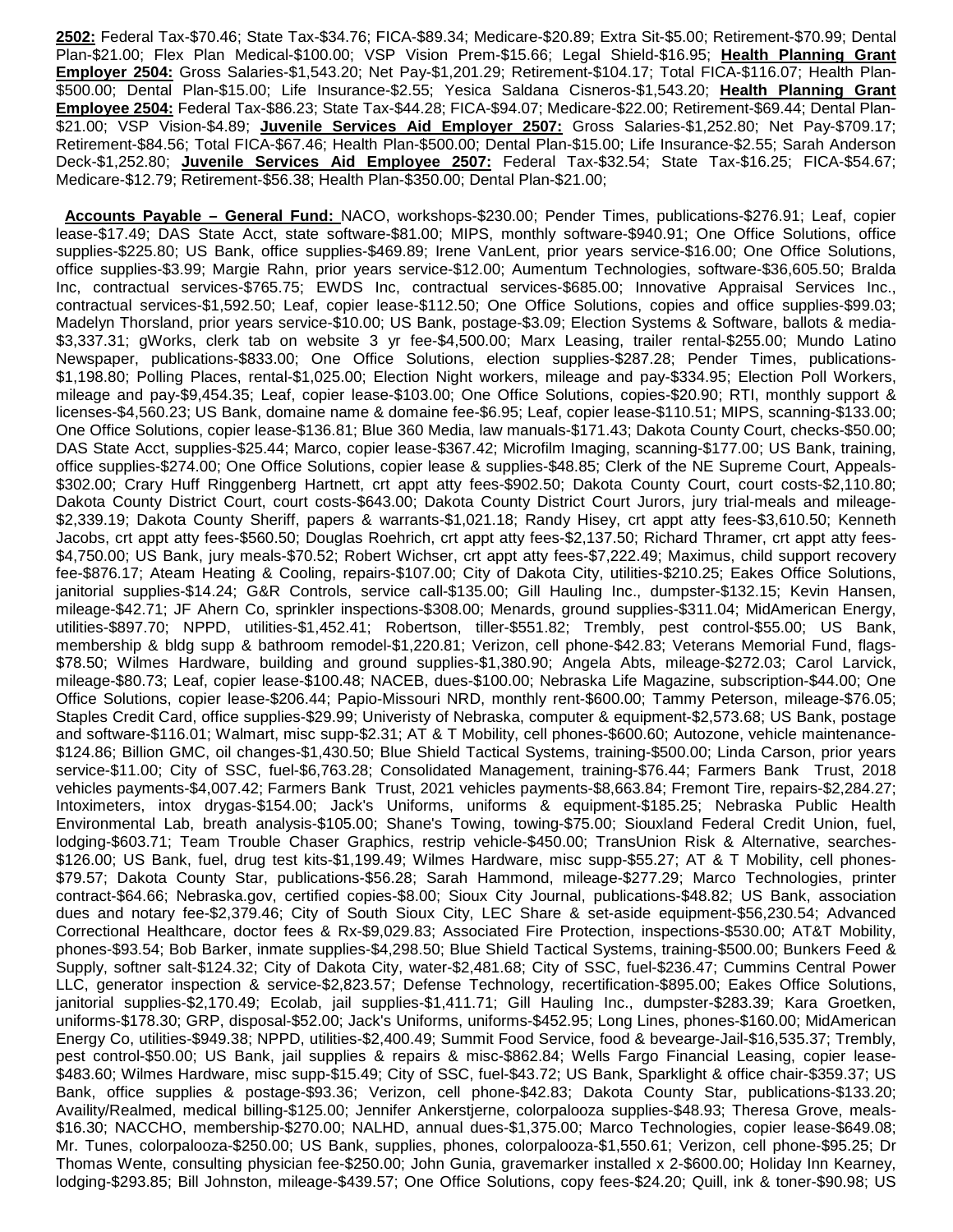**2502:** Federal Tax-\$70.46; State Tax-\$34.76; FICA-\$89.34; Medicare-\$20.89; Extra Sit-\$5.00; Retirement-\$70.99; Dental Plan-\$21.00; Flex Plan Medical-\$100.00; VSP Vision Prem-\$15.66; Legal Shield-\$16.95; **Health Planning Grant Employer 2504:** Gross Salaries-\$1,543.20; Net Pay-\$1,201.29; Retirement-\$104.17; Total FICA-\$116.07; Health Plan- \$500.00; Dental Plan-\$15.00; Life Insurance-\$2.55; Yesica Saldana Cisneros-\$1,543.20; **Health Planning Grant Employee 2504:** Federal Tax-\$86.23; State Tax-\$44.28; FICA-\$94.07; Medicare-\$22.00; Retirement-\$69.44; Dental Plan- \$21.00; VSP Vision-\$4.89; **Juvenile Services Aid Employer 2507:** Gross Salaries-\$1,252.80; Net Pay-\$709.17; Retirement-\$84.56; Total FICA-\$67.46; Health Plan-\$500.00; Dental Plan-\$15.00; Life Insurance-\$2.55; Sarah Anderson Deck-\$1,252.80; **Juvenile Services Aid Employee 2507:** Federal Tax-\$32.54; State Tax-\$16.25; FICA-\$54.67; Medicare-\$12.79; Retirement-\$56.38; Health Plan-\$350.00; Dental Plan-\$21.00;

 **Accounts Payable – General Fund:** NACO, workshops-\$230.00; Pender Times, publications-\$276.91; Leaf, copier lease-\$17.49; DAS State Acct, state software-\$81.00; MIPS, monthly software-\$940.91; One Office Solutions, office supplies-\$225.80; US Bank, office supplies-\$469.89; Irene VanLent, prior years service-\$16.00; One Office Solutions, office supplies-\$3.99; Margie Rahn, prior years service-\$12.00; Aumentum Technologies, software-\$36,605.50; Bralda Inc, contractual services-\$765.75; EWDS Inc, contractual services-\$685.00; Innovative Appraisal Services Inc., contractual services-\$1,592.50; Leaf, copier lease-\$112.50; One Office Solutions, copies and office supplies-\$99.03; Madelyn Thorsland, prior years service-\$10.00; US Bank, postage-\$3.09; Election Systems & Software, ballots & media- \$3,337.31; gWorks, clerk tab on website 3 yr fee-\$4,500.00; Marx Leasing, trailer rental-\$255.00; Mundo Latino Newspaper, publications-\$833.00; One Office Solutions, election supplies-\$287.28; Pender Times, publications- \$1,198.80; Polling Places, rental-\$1,025.00; Election Night workers, mileage and pay-\$334.95; Election Poll Workers, mileage and pay-\$9,454.35; Leaf, copier lease-\$103.00; One Office Solutions, copies-\$20.90; RTI, monthly support & licenses-\$4,560.23; US Bank, domaine name & domaine fee-\$6.95; Leaf, copier lease-\$110.51; MIPS, scanning-\$133.00; One Office Solutions, copier lease-\$136.81; Blue 360 Media, law manuals-\$171.43; Dakota County Court, checks-\$50.00; DAS State Acct, supplies-\$25.44; Marco, copier lease-\$367.42; Microfilm Imaging, scanning-\$177.00; US Bank, training, office supplies-\$274.00; One Office Solutions, copier lease & supplies-\$48.85; Clerk of the NE Supreme Court, Appeals- \$302.00; Crary Huff Ringgenberg Hartnett, crt appt atty fees-\$902.50; Dakota County Court, court costs-\$2,110.80; Dakota County District Court, court costs-\$643.00; Dakota County District Court Jurors, jury trial-meals and mileage- \$2,339.19; Dakota County Sheriff, papers & warrants-\$1,021.18; Randy Hisey, crt appt atty fees-\$3,610.50; Kenneth Jacobs, crt appt atty fees-\$560.50; Douglas Roehrich, crt appt atty fees-\$2,137.50; Richard Thramer, crt appt atty fees- \$4,750.00; US Bank, jury meals-\$70.52; Robert Wichser, crt appt atty fees-\$7,222.49; Maximus, child support recovery fee-\$876.17; Ateam Heating & Cooling, repairs-\$107.00; City of Dakota City, utilities-\$210.25; Eakes Office Solutions, janitorial supplies-\$14.24; G&R Controls, service call-\$135.00; Gill Hauling Inc., dumpster-\$132.15; Kevin Hansen, mileage-\$42.71; JF Ahern Co, sprinkler inspections-\$308.00; Menards, ground supplies-\$311.04; MidAmerican Energy, utilities-\$897.70; NPPD, utilities-\$1,452.41; Robertson, tiller-\$551.82; Trembly, pest control-\$55.00; US Bank, membership & bldg supp & bathroom remodel-\$1,220.81; Verizon, cell phone-\$42.83; Veterans Memorial Fund, flags- \$78.50; Wilmes Hardware, building and ground supplies-\$1,380.90; Angela Abts, mileage-\$272.03; Carol Larvick, mileage-\$80.73; Leaf, copier lease-\$100.48; NACEB, dues-\$100.00; Nebraska Life Magazine, subscription-\$44.00; One Office Solutions, copier lease-\$206.44; Papio-Missouri NRD, monthly rent-\$600.00; Tammy Peterson, mileage-\$76.05; Staples Credit Card, office supplies-\$29.99; Univeristy of Nebraska, computer & equipment-\$2,573.68; US Bank, postage and software-\$116.01; Walmart, misc supp-\$2.31; AT & T Mobility, cell phones-\$600.60; Autozone, vehicle maintenance- \$124.86; Billion GMC, oil changes-\$1,430.50; Blue Shield Tactical Systems, training-\$500.00; Linda Carson, prior years service-\$11.00; City of SSC, fuel-\$6,763.28; Consolidated Management, training-\$76.44; Farmers Bank Trust, 2018 vehicles payments-\$4,007.42; Farmers Bank Trust, 2021 vehicles payments-\$8,663.84; Fremont Tire, repairs-\$2,284.27; Intoximeters, intox drygas-\$154.00; Jack's Uniforms, uniforms & equipment-\$185.25; Nebraska Public Health Environmental Lab, breath analysis-\$105.00; Shane's Towing, towing-\$75.00; Siouxland Federal Credit Union, fuel, lodging-\$603.71; Team Trouble Chaser Graphics, restrip vehicle-\$450.00; TransUnion Risk & Alternative, searches- \$126.00; US Bank, fuel, drug test kits-\$1,199.49; Wilmes Hardware, misc supp-\$55.27; AT & T Mobility, cell phones- \$79.57; Dakota County Star, publications-\$56.28; Sarah Hammond, mileage-\$277.29; Marco Technologies, printer contract-\$64.66; Nebraska.gov, certified copies-\$8.00; Sioux City Journal, publications-\$48.82; US Bank, association dues and notary fee-\$2,379.46; City of South Sioux City, LEC Share & set-aside equipment-\$56,230.54; Advanced Correctional Healthcare, doctor fees & Rx-\$9,029.83; Associated Fire Protection, inspections-\$530.00; AT&T Mobility, phones-\$93.54; Bob Barker, inmate supplies-\$4,298.50; Blue Shield Tactical Systems, training-\$500.00; Bunkers Feed & Supply, softner salt-\$124.32; City of Dakota City, water-\$2,481.68; City of SSC, fuel-\$236.47; Cummins Central Power LLC, generator inspection & service-\$2,823.57; Defense Technology, recertification-\$895.00; Eakes Office Solutions, janitorial supplies-\$2,170.49; Ecolab, jail supplies-\$1,411.71; Gill Hauling Inc., dumpster-\$283.39; Kara Groetken, uniforms-\$178.30; GRP, disposal-\$52.00; Jack's Uniforms, uniforms-\$452.95; Long Lines, phones-\$160.00; MidAmerican Energy Co, utilities-\$949.38; NPPD, utilities-\$2,400.49; Summit Food Service, food & bevearge-Jail-\$16,535.37; Trembly, pest control-\$50.00; US Bank, jail supplies & repairs & misc-\$862.84; Wells Fargo Financial Leasing, copier lease- \$483.60; Wilmes Hardware, misc supp-\$15.49; City of SSC, fuel-\$43.72; US Bank, Sparklight & office chair-\$359.37; US Bank, office supplies & postage-\$93.36; Verizon, cell phone-\$42.83; Dakota County Star, publications-\$133.20; Availity/Realmed, medical billing-\$125.00; Jennifer Ankerstjerne, colorpalooza supplies-\$48.93; Theresa Grove, meals- \$16.30; NACCHO, membership-\$270.00; NALHD, annual dues-\$1,375.00; Marco Technologies, copier lease-\$649.08; Mr. Tunes, colorpalooza-\$250.00; US Bank, supplies, phones, colorpalooza-\$1,550.61; Verizon, cell phone-\$95.25; Dr Thomas Wente, consulting physician fee-\$250.00; John Gunia, gravemarker installed x 2-\$600.00; Holiday Inn Kearney, lodging-\$293.85; Bill Johnston, mileage-\$439.57; One Office Solutions, copy fees-\$24.20; Quill, ink & toner-\$90.98; US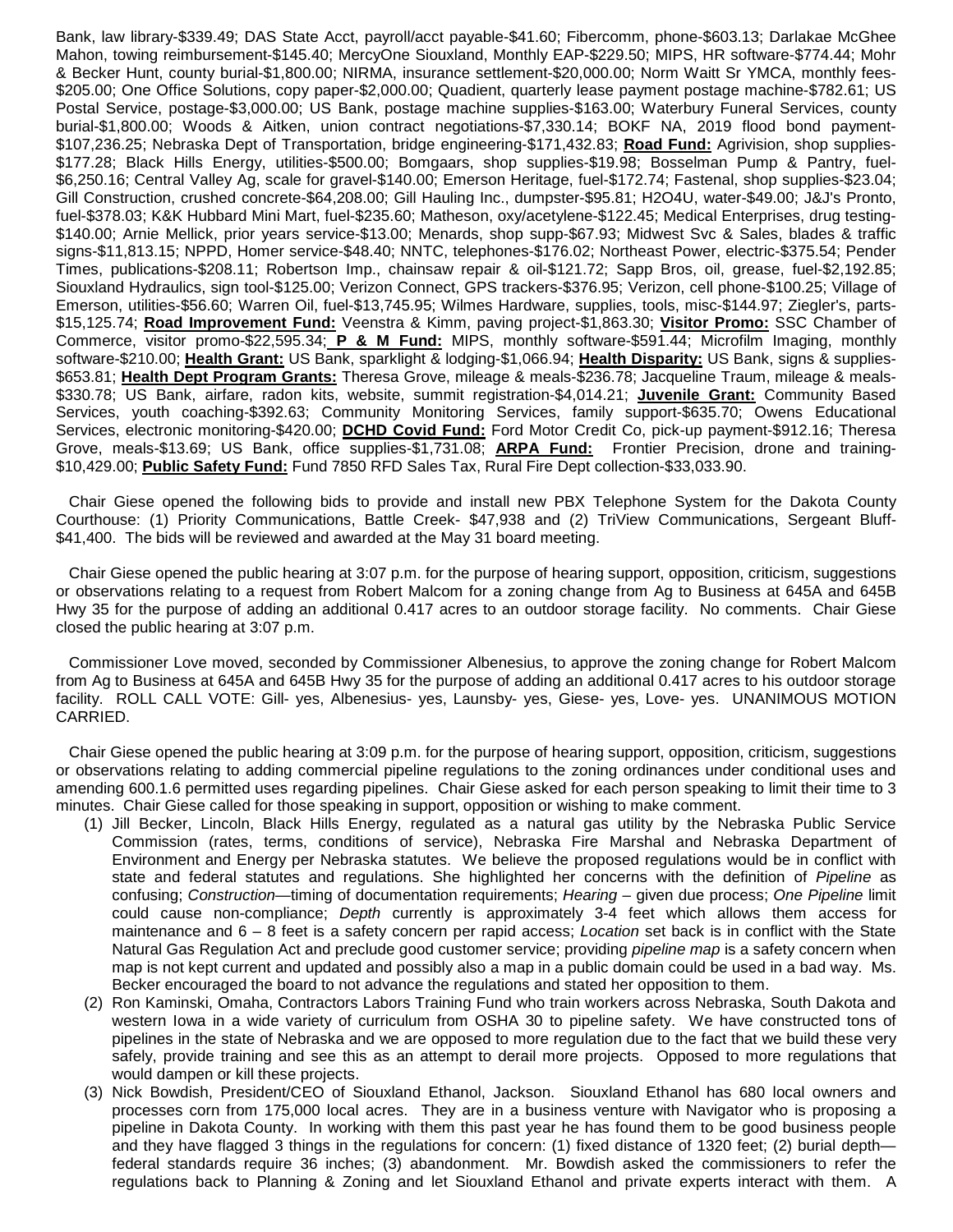Bank, law library-\$339.49; DAS State Acct, payroll/acct payable-\$41.60; Fibercomm, phone-\$603.13; Darlakae McGhee Mahon, towing reimbursement-\$145.40; MercyOne Siouxland, Monthly EAP-\$229.50; MIPS, HR software-\$774.44; Mohr & Becker Hunt, county burial-\$1,800.00; NIRMA, insurance settlement-\$20,000.00; Norm Waitt Sr YMCA, monthly fees- \$205.00; One Office Solutions, copy paper-\$2,000.00; Quadient, quarterly lease payment postage machine-\$782.61; US Postal Service, postage-\$3,000.00; US Bank, postage machine supplies-\$163.00; Waterbury Funeral Services, county burial-\$1,800.00; Woods & Aitken, union contract negotiations-\$7,330.14; BOKF NA, 2019 flood bond payment- \$107,236.25; Nebraska Dept of Transportation, bridge engineering-\$171,432.83; **Road Fund:** Agrivision, shop supplies- \$177.28; Black Hills Energy, utilities-\$500.00; Bomgaars, shop supplies-\$19.98; Bosselman Pump & Pantry, fuel- \$6,250.16; Central Valley Ag, scale for gravel-\$140.00; Emerson Heritage, fuel-\$172.74; Fastenal, shop supplies-\$23.04; Gill Construction, crushed concrete-\$64,208.00; Gill Hauling Inc., dumpster-\$95.81; H2O4U, water-\$49.00; J&J's Pronto, fuel-\$378.03; K&K Hubbard Mini Mart, fuel-\$235.60; Matheson, oxy/acetylene-\$122.45; Medical Enterprises, drug testing- \$140.00; Arnie Mellick, prior years service-\$13.00; Menards, shop supp-\$67.93; Midwest Svc & Sales, blades & traffic signs-\$11,813.15; NPPD, Homer service-\$48.40; NNTC, telephones-\$176.02; Northeast Power, electric-\$375.54; Pender Times, publications-\$208.11; Robertson Imp., chainsaw repair & oil-\$121.72; Sapp Bros, oil, grease, fuel-\$2,192.85; Siouxland Hydraulics, sign tool-\$125.00; Verizon Connect, GPS trackers-\$376.95; Verizon, cell phone-\$100.25; Village of Emerson, utilities-\$56.60; Warren Oil, fuel-\$13,745.95; Wilmes Hardware, supplies, tools, misc-\$144.97; Ziegler's, parts- \$15,125.74; **Road Improvement Fund:** Veenstra & Kimm, paving project-\$1,863.30; **Visitor Promo:** SSC Chamber of Commerce, visitor promo-\$22,595.34; **P & M Fund:** MIPS, monthly software-\$591.44; Microfilm Imaging, monthly software-\$210.00; **Health Grant:** US Bank, sparklight & lodging-\$1,066.94; **Health Disparity:** US Bank, signs & supplies- \$653.81; **Health Dept Program Grants:** Theresa Grove, mileage & meals-\$236.78; Jacqueline Traum, mileage & meals- \$330.78; US Bank, airfare, radon kits, website, summit registration-\$4,014.21; **Juvenile Grant:** Community Based Services, youth coaching-\$392.63; Community Monitoring Services, family support-\$635.70; Owens Educational Services, electronic monitoring-\$420.00; **DCHD Covid Fund:** Ford Motor Credit Co, pick-up payment-\$912.16; Theresa Grove, meals-\$13.69; US Bank, office supplies-\$1,731.08; **ARPA Fund:** Frontier Precision, drone and training- \$10,429.00; **Public Safety Fund:** Fund 7850 RFD Sales Tax, Rural Fire Dept collection-\$33,033.90.

 Chair Giese opened the following bids to provide and install new PBX Telephone System for the Dakota County Courthouse: (1) Priority Communications, Battle Creek- \$47,938 and (2) TriView Communications, Sergeant Bluff- \$41,400. The bids will be reviewed and awarded at the May 31 board meeting.

 Chair Giese opened the public hearing at 3:07 p.m. for the purpose of hearing support, opposition, criticism, suggestions or observations relating to a request from Robert Malcom for a zoning change from Ag to Business at 645A and 645B Hwy 35 for the purpose of adding an additional 0.417 acres to an outdoor storage facility. No comments. Chair Giese closed the public hearing at 3:07 p.m.

 Commissioner Love moved, seconded by Commissioner Albenesius, to approve the zoning change for Robert Malcom from Ag to Business at 645A and 645B Hwy 35 for the purpose of adding an additional 0.417 acres to his outdoor storage facility. ROLL CALL VOTE: Gill- yes, Albenesius- yes, Launsby- yes, Giese- yes, Love- yes. UNANIMOUS MOTION CARRIED.

 Chair Giese opened the public hearing at 3:09 p.m. for the purpose of hearing support, opposition, criticism, suggestions or observations relating to adding commercial pipeline regulations to the zoning ordinances under conditional uses and amending 600.1.6 permitted uses regarding pipelines. Chair Giese asked for each person speaking to limit their time to 3 minutes. Chair Giese called for those speaking in support, opposition or wishing to make comment.

- (1) Jill Becker, Lincoln, Black Hills Energy, regulated as a natural gas utility by the Nebraska Public Service Commission (rates, terms, conditions of service), Nebraska Fire Marshal and Nebraska Department of Environment and Energy per Nebraska statutes. We believe the proposed regulations would be in conflict with state and federal statutes and regulations. She highlighted her concerns with the definition of *Pipeline* as confusing; Construction—timing of documentation requirements; Hearing - given due process; One Pipeline limit could cause non-compliance; Depth currently is approximately 3-4 feet which allows them access for maintenance and  $6 - 8$  feet is a safety concern per rapid access; Location set back is in conflict with the State Natural Gas Regulation Act and preclude good customer service; providing pipeline map is a safety concern when map is not kept current and updated and possibly also a map in a public domain could be used in a bad way. Ms. Becker encouraged the board to not advance the regulations and stated her opposition to them.
- (2) Ron Kaminski, Omaha, Contractors Labors Training Fund who train workers across Nebraska, South Dakota and western Iowa in a wide variety of curriculum from OSHA 30 to pipeline safety. We have constructed tons of pipelines in the state of Nebraska and we are opposed to more regulation due to the fact that we build these very safely, provide training and see this as an attempt to derail more projects. Opposed to more regulations that would dampen or kill these projects.
- (3) Nick Bowdish, President/CEO of Siouxland Ethanol, Jackson. Siouxland Ethanol has 680 local owners and processes corn from 175,000 local acres. They are in a business venture with Navigator who is proposing a pipeline in Dakota County. In working with them this past year he has found them to be good business people and they have flagged 3 things in the regulations for concern: (1) fixed distance of 1320 feet; (2) burial depth federal standards require 36 inches; (3) abandonment. Mr. Bowdish asked the commissioners to refer the regulations back to Planning & Zoning and let Siouxland Ethanol and private experts interact with them. A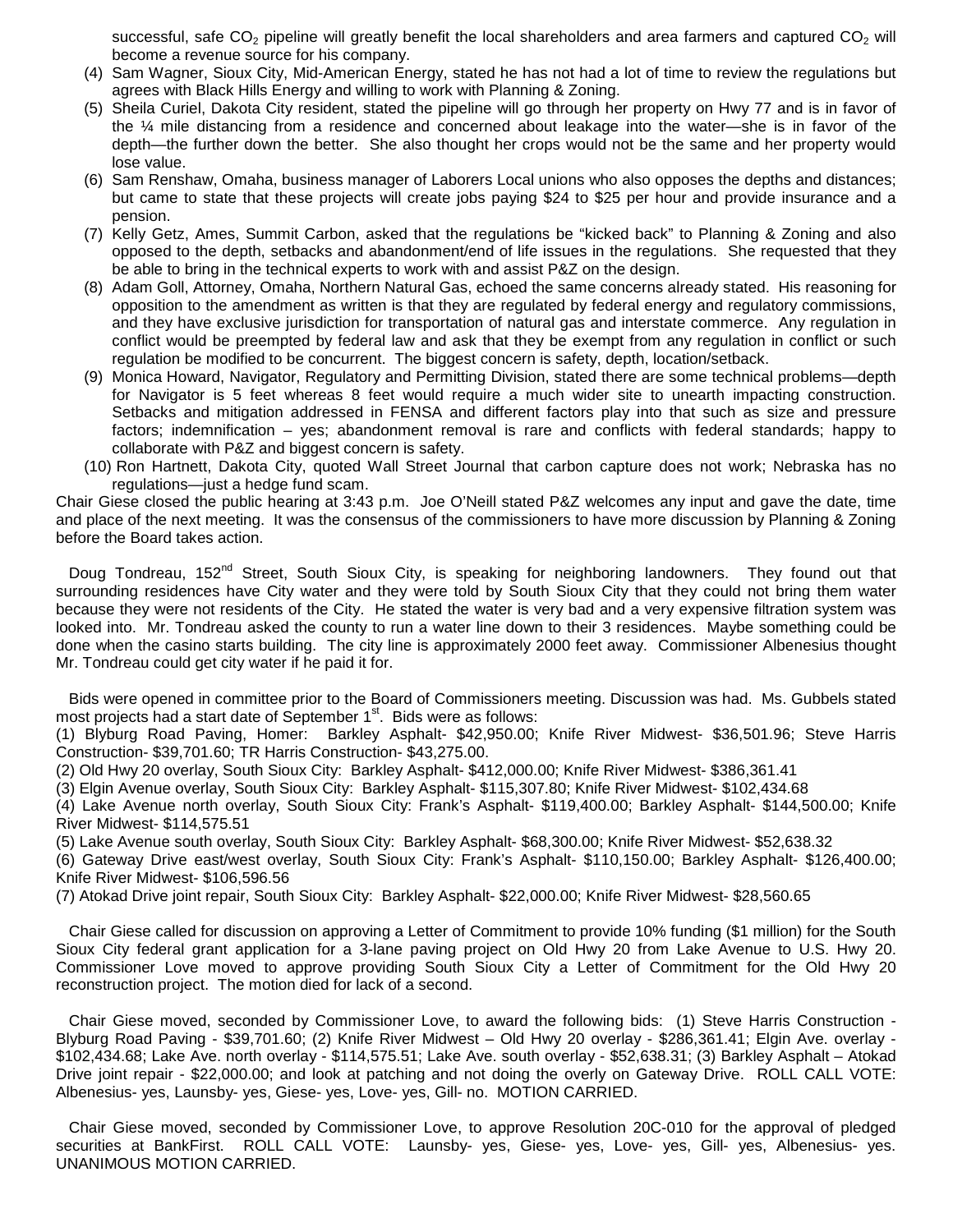successful, safe  $CO<sub>2</sub>$  pipeline will greatly benefit the local shareholders and area farmers and captured  $CO<sub>2</sub>$  will become a revenue source for his company.

- (4) Sam Wagner, Sioux City, Mid-American Energy, stated he has not had a lot of time to review the regulations but agrees with Black Hills Energy and willing to work with Planning & Zoning.
- (5) Sheila Curiel, Dakota City resident, stated the pipeline will go through her property on Hwy 77 and is in favor of the ¼ mile distancing from a residence and concerned about leakage into the water—she is in favor of the depth—the further down the better. She also thought her crops would not be the same and her property would lose value.
- (6) Sam Renshaw, Omaha, business manager of Laborers Local unions who also opposes the depths and distances; but came to state that these projects will create jobs paying \$24 to \$25 per hour and provide insurance and a pension.
- (7) Kelly Getz, Ames, Summit Carbon, asked that the regulations be "kicked back" to Planning & Zoning and also opposed to the depth, setbacks and abandonment/end of life issues in the regulations. She requested that they be able to bring in the technical experts to work with and assist P&Z on the design.
- (8) Adam Goll, Attorney, Omaha, Northern Natural Gas, echoed the same concerns already stated. His reasoning for opposition to the amendment as written is that they are regulated by federal energy and regulatory commissions, and they have exclusive jurisdiction for transportation of natural gas and interstate commerce. Any regulation in conflict would be preempted by federal law and ask that they be exempt from any regulation in conflict or such regulation be modified to be concurrent. The biggest concern is safety, depth, location/setback.
- (9) Monica Howard, Navigator, Regulatory and Permitting Division, stated there are some technical problems—depth for Navigator is 5 feet whereas 8 feet would require a much wider site to unearth impacting construction. Setbacks and mitigation addressed in FENSA and different factors play into that such as size and pressure factors; indemnification – yes; abandonment removal is rare and conflicts with federal standards; happy to collaborate with P&Z and biggest concern is safety.
- (10) Ron Hartnett, Dakota City, quoted Wall Street Journal that carbon capture does not work; Nebraska has no regulations—just a hedge fund scam.

Chair Giese closed the public hearing at 3:43 p.m. Joe O'Neill stated P&Z welcomes any input and gave the date, time and place of the next meeting. It was the consensus of the commissioners to have more discussion by Planning & Zoning before the Board takes action.

Doug Tondreau, 152<sup>nd</sup> Street, South Sioux City, is speaking for neighboring landowners. They found out that surrounding residences have City water and they were told by South Sioux City that they could not bring them water because they were not residents of the City. He stated the water is very bad and a very expensive filtration system was looked into. Mr. Tondreau asked the county to run a water line down to their 3 residences. Maybe something could be done when the casino starts building. The city line is approximately 2000 feet away. Commissioner Albenesius thought Mr. Tondreau could get city water if he paid it for.

 Bids were opened in committee prior to the Board of Commissioners meeting. Discussion was had. Ms. Gubbels stated most projects had a start date of September  $1<sup>st</sup>$ . Bids were as follows:

(1) Blyburg Road Paving, Homer: Barkley Asphalt- \$42,950.00; Knife River Midwest- \$36,501.96; Steve Harris Construction- \$39,701.60; TR Harris Construction- \$43,275.00.

(2) Old Hwy 20 overlay, South Sioux City: Barkley Asphalt- \$412,000.00; Knife River Midwest- \$386,361.41

(3) Elgin Avenue overlay, South Sioux City: Barkley Asphalt- \$115,307.80; Knife River Midwest- \$102,434.68

(4) Lake Avenue north overlay, South Sioux City: Frank's Asphalt- \$119,400.00; Barkley Asphalt- \$144,500.00; Knife River Midwest- \$114,575.51

(5) Lake Avenue south overlay, South Sioux City: Barkley Asphalt- \$68,300.00; Knife River Midwest- \$52,638.32

(6) Gateway Drive east/west overlay, South Sioux City: Frank's Asphalt- \$110,150.00; Barkley Asphalt- \$126,400.00; Knife River Midwest- \$106,596.56

(7) Atokad Drive joint repair, South Sioux City: Barkley Asphalt- \$22,000.00; Knife River Midwest- \$28,560.65

 Chair Giese called for discussion on approving a Letter of Commitment to provide 10% funding (\$1 million) for the South Sioux City federal grant application for a 3-lane paving project on Old Hwy 20 from Lake Avenue to U.S. Hwy 20. Commissioner Love moved to approve providing South Sioux City a Letter of Commitment for the Old Hwy 20 reconstruction project. The motion died for lack of a second.

 Chair Giese moved, seconded by Commissioner Love, to award the following bids: (1) Steve Harris Construction - Blyburg Road Paving - \$39,701.60; (2) Knife River Midwest – Old Hwy 20 overlay - \$286,361.41; Elgin Ave. overlay - \$102,434.68; Lake Ave. north overlay - \$114,575.51; Lake Ave. south overlay - \$52,638.31; (3) Barkley Asphalt – Atokad Drive joint repair - \$22,000.00; and look at patching and not doing the overly on Gateway Drive. ROLL CALL VOTE: Albenesius- yes, Launsby- yes, Giese- yes, Love- yes, Gill- no. MOTION CARRIED.

 Chair Giese moved, seconded by Commissioner Love, to approve Resolution 20C-010 for the approval of pledged securities at BankFirst. ROLL CALL VOTE: Launsby- yes, Giese- yes, Love- yes, Gill- yes, Albenesius- yes. UNANIMOUS MOTION CARRIED.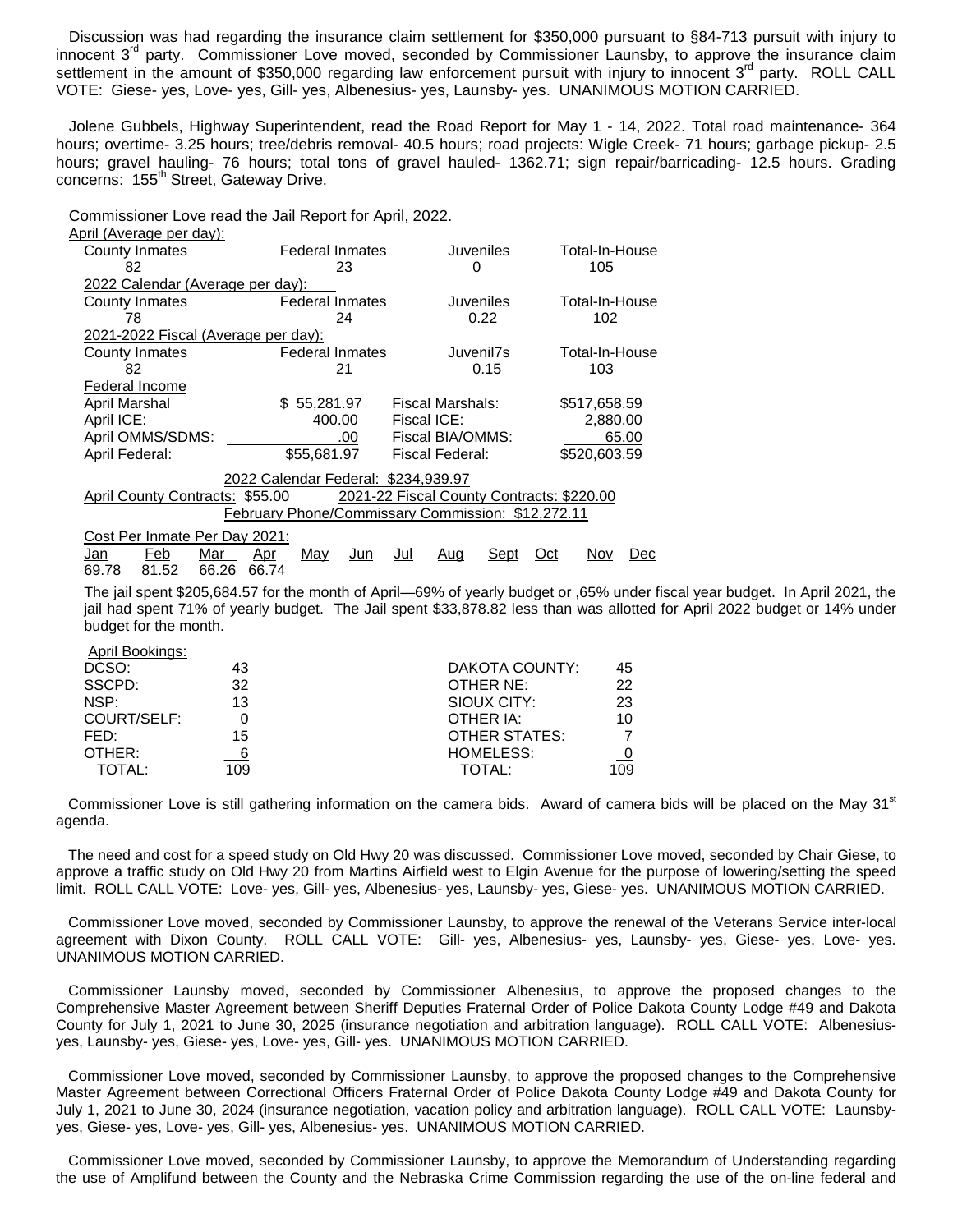Discussion was had regarding the insurance claim settlement for \$350,000 pursuant to §84-713 pursuit with injury to innocent  $3<sup>rd</sup>$  party. Commissioner Love moved, seconded by Commissioner Launsby, to approve the insurance claim settlement in the amount of \$350,000 regarding law enforcement pursuit with injury to innocent  $3^{rd}$  party. ROLL CALL VOTE: Giese- yes, Love- yes, Gill- yes, Albenesius- yes, Launsby- yes. UNANIMOUS MOTION CARRIED.

 Jolene Gubbels, Highway Superintendent, read the Road Report for May 1 - 14, 2022. Total road maintenance- 364 hours; overtime- 3.25 hours; tree/debris removal- 40.5 hours; road projects: Wigle Creek- 71 hours; garbage pickup- 2.5 hours; gravel hauling- 76 hours; total tons of gravel hauled- 1362.71; sign repair/barricading- 12.5 hours. Grading concerns: 155<sup>th</sup> Street, Gateway Drive.

Commissioner Love read the Jail Report for April, 2022.

| April (Average per day):                                                     |                                     |                  |                   |  |  |
|------------------------------------------------------------------------------|-------------------------------------|------------------|-------------------|--|--|
| County Inmates                                                               | Federal Inmates                     | <b>Juveniles</b> | Total-In-House    |  |  |
| 82                                                                           | 23                                  | 0                | 105               |  |  |
| 2022 Calendar (Average per day):                                             |                                     |                  |                   |  |  |
| County Inmates                                                               | <b>Federal Inmates</b>              | Juveniles        | Total-In-House    |  |  |
| 78                                                                           | 24                                  | 0.22             | 102               |  |  |
| 2021-2022 Fiscal (Average per day):                                          |                                     |                  |                   |  |  |
| County Inmates                                                               | <b>Federal Inmates</b>              | Juvenil7s        | Total-In-House    |  |  |
| 82                                                                           | 21                                  | 0.15             | 103               |  |  |
| Federal Income                                                               |                                     |                  |                   |  |  |
| April Marshal                                                                | \$55,281.97                         | Fiscal Marshals: | \$517,658.59      |  |  |
| April ICE:                                                                   | 400.00                              | Fiscal ICE:      | 2,880.00          |  |  |
| April OMMS/SDMS:                                                             | .00                                 | Fiscal BIA/OMMS: | 65.00             |  |  |
| April Federal:                                                               | \$55,681.97                         | Fiscal Federal:  | \$520,603.59      |  |  |
|                                                                              | 2022 Calendar Federal: \$234,939.97 |                  |                   |  |  |
| 2021-22 Fiscal County Contracts: \$220.00<br>April County Contracts: \$55.00 |                                     |                  |                   |  |  |
| <b>February Phone/Commissary Commission: \$12,272.11</b>                     |                                     |                  |                   |  |  |
| Cost Per Inmate Per Day 2021:                                                |                                     |                  |                   |  |  |
| Mar<br><u>Apr</u><br>Feb<br>Jan                                              | May<br>Jul<br>Jun                   | Sept<br>Aug      | Nov<br>Dec<br>Oct |  |  |
| 66.26<br>66.74<br>81.52<br>69.78                                             |                                     |                  |                   |  |  |
|                                                                              |                                     |                  |                   |  |  |

The jail spent \$205,684.57 for the month of April—69% of yearly budget or ,65% under fiscal year budget. In April 2021, the jail had spent 71% of yearly budget. The Jail spent \$33,878.82 less than was allotted for April 2022 budget or 14% under budget for the month.

| April Bookings: |     |                  |     |
|-----------------|-----|------------------|-----|
| DCSO:           | 43  | DAKOTA COUNTY:   | 45  |
| SSCPD:          | 32  | OTHER NE:        | 22  |
| NSP:            | 13  | SIOUX CITY:      | 23  |
| COURT/SELF:     |     | OTHER IA:        | 10  |
| FED:            | 15  | OTHER STATES:    |     |
| OTHER:          |     | <b>HOMELESS:</b> |     |
| TOTAL:          | 109 | TOTAL:           | 109 |

Commissioner Love is still gathering information on the camera bids. Award of camera bids will be placed on the May 31<sup>st</sup> agenda.

 The need and cost for a speed study on Old Hwy 20 was discussed. Commissioner Love moved, seconded by Chair Giese, to approve a traffic study on Old Hwy 20 from Martins Airfield west to Elgin Avenue for the purpose of lowering/setting the speed limit. ROLL CALL VOTE: Love- yes, Gill- yes, Albenesius- yes, Launsby- yes, Giese- yes. UNANIMOUS MOTION CARRIED.

 Commissioner Love moved, seconded by Commissioner Launsby, to approve the renewal of the Veterans Service inter-local agreement with Dixon County. ROLL CALL VOTE: Gill- yes, Albenesius- yes, Launsby- yes, Giese- yes, Love- yes. UNANIMOUS MOTION CARRIED.

 Commissioner Launsby moved, seconded by Commissioner Albenesius, to approve the proposed changes to the Comprehensive Master Agreement between Sheriff Deputies Fraternal Order of Police Dakota County Lodge #49 and Dakota County for July 1, 2021 to June 30, 2025 (insurance negotiation and arbitration language). ROLL CALL VOTE: Albenesiusyes, Launsby- yes, Giese- yes, Love- yes, Gill- yes. UNANIMOUS MOTION CARRIED.

 Commissioner Love moved, seconded by Commissioner Launsby, to approve the proposed changes to the Comprehensive Master Agreement between Correctional Officers Fraternal Order of Police Dakota County Lodge #49 and Dakota County for July 1, 2021 to June 30, 2024 (insurance negotiation, vacation policy and arbitration language). ROLL CALL VOTE: Launsbyyes, Giese- yes, Love- yes, Gill- yes, Albenesius- yes. UNANIMOUS MOTION CARRIED.

 Commissioner Love moved, seconded by Commissioner Launsby, to approve the Memorandum of Understanding regarding the use of Amplifund between the County and the Nebraska Crime Commission regarding the use of the on-line federal and